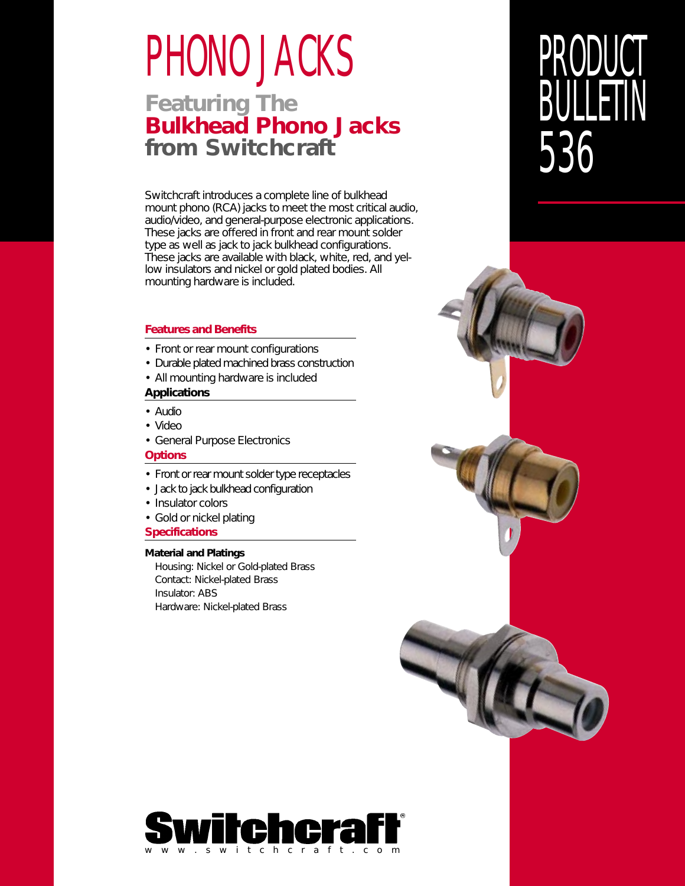# PHONO JACKS

## **Featuring The Bulkhead Phono Jacks from Switchcraft**

Switchcraft introduces a complete line of bulkhead mount phono (RCA) jacks to meet the most critical audio, audio/video, and general-purpose electronic applications. These jacks are offered in front and rear mount solder type as well as jack to jack bulkhead configurations. These jacks are available with black, white, red, and yellow insulators and nickel or gold plated bodies. All mounting hardware is included.

#### **Features and Benefits**

- Front or rear mount configurations
- Durable plated machined brass construction
- All mounting hardware is included

#### **Applications**

- Audio
- Video
- General Purpose Electronics

#### **Options**

- Front or rear mount solder type receptacles
- Jack to jack bulkhead configuration
- Insulator colors
- Gold or nickel plating

#### **Specifications**

#### **Material and Platings**

Housing: Nickel or Gold-plated Brass Contact: Nickel-plated Brass Insulator: ABS Hardware: Nickel-plated Brass





## PRODUCT **BULLETIN** 536